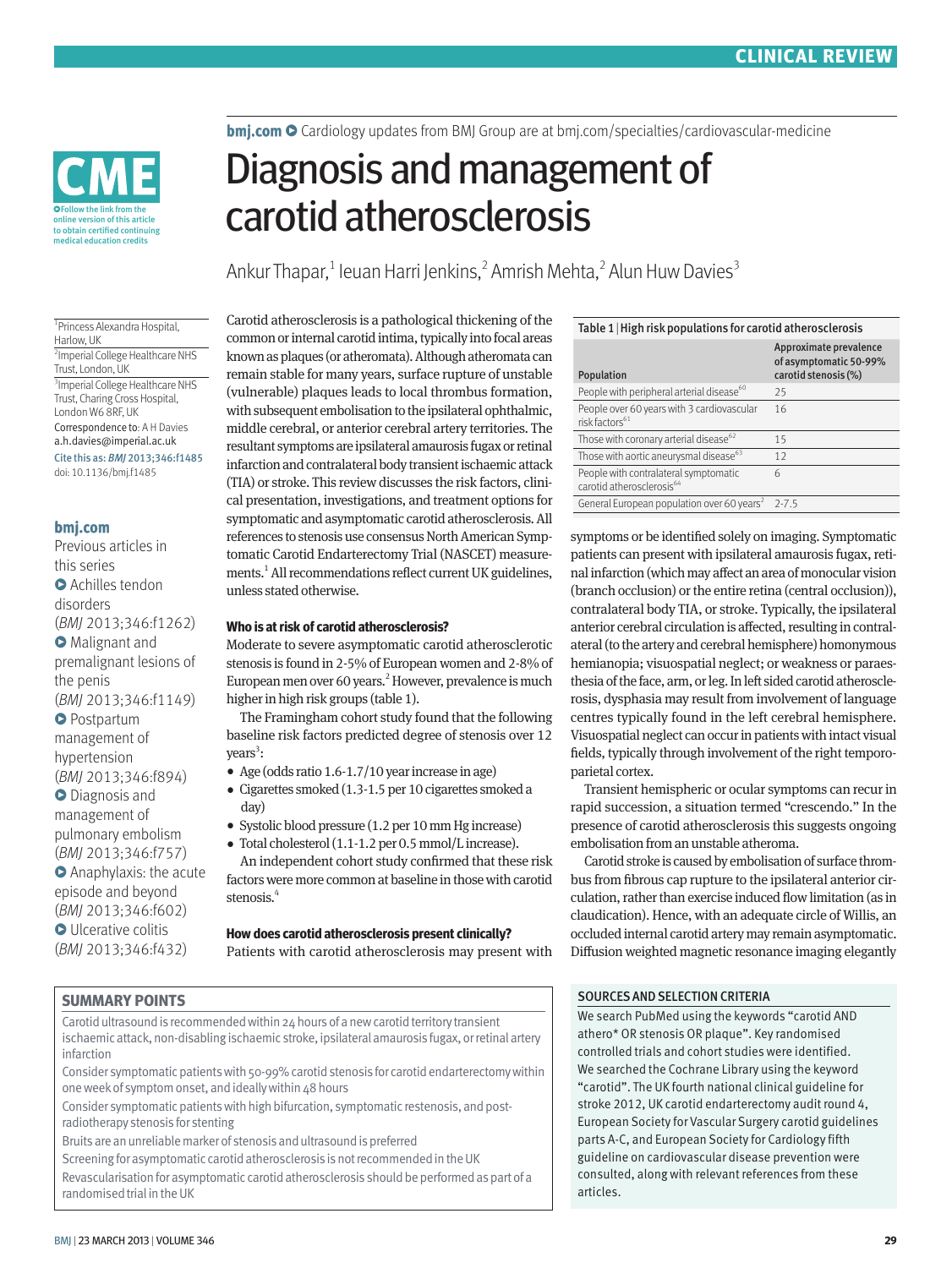Follow the link from the online version of this article<br>to obtain certified continuing medical education credits

**bmi.com O** Cardiology updates from BMJ Group are at bmi.com/specialties/cardiovascular-medicine

# Diagnosis and management of carotid atherosclerosis

Ankur Thapar,<sup>1</sup> leuan Harri Jenkins,<sup>2</sup> Amrish Mehta,<sup>2</sup> Alun Huw Davies<sup>3</sup>

1 Princess Alexandra Hospital, Harlow, UK 2 Imperial College Healthcare NHS Trust, London, UK 3 Imperial College Healthcare NHS Trust, Charing Cross Hospital, London W6 8RF, UK Correspondence to: A H Davies a.h.davies@imperial.ac.uk Cite this as: *BMJ* 2013;346:f1485

doi: 10.1136/bmj.f1485

## **bmj.com**

Previous articles in this series **O** Achilles tendon disorders (*BMJ* 2013;346:f1262) **O** Malignant and premalignant lesions of the penis (*BMJ* 2013;346:f1149) **O** Postpartum management of hypertension (*BMJ* 2013;346:f894)  $\bullet$  Diagnosis and management of pulmonary embolism (*BMJ* 2013;346:f757) **O** Anaphylaxis: the acute episode and beyond (*BMJ* 2013;346:f602) **O** Ulcerative colitis (*BMJ* 2013;346:f432)

**SUMMARY POINTS**

Carotid atherosclerosis is a pathological thickening of the common or internal carotid intima, typically into focal areas known as plaques (or atheromata). Although atheromata can remain stable for many years, surface rupture of unstable (vulnerable) plaques leads to local thrombus formation, with subsequent embolisation to the ipsilateral ophthalmic, middle cerebral, or anterior cerebral artery territories. The resultant symptoms are ipsilateral amaurosis fugax or retinal infarction and contralateral body transient ischaemic attack (TIA) or stroke. This review discusses the risk factors, clinical presentation, investigations, and treatment options for symptomatic and asymptomatic carotid atherosclerosis. All references to stenosis use consensus North American Symptomatic Carotid Endarterectomy Trial (NASCET) measurements.<sup>1</sup> All recommendations reflect current UK guidelines, unless stated otherwise.

#### **Who is at risk of carotid atherosclerosis?**

Moderate to severe asymptomatic carotid atherosclerotic stenosis is found in 2-5% of European women and 2-8% of European men over 60 years.<sup>2</sup> However, prevalence is much higher in high risk groups (table 1).

The Framingham cohort study found that the following baseline risk factors predicted degree of stenosis over 12 years<sup>3</sup>:

- •  Age (odds ratio 1.6-1.7/10 year increase in age)
- •  Cigarettes smoked (1.3-1.5 per 10 cigarettes smoked a day)
- •  Systolic blood pressure (1.2 per 10 mm Hg increase)
- •  Total cholesterol (1.1-1.2 per 0.5 mmol/L increase). An independent cohort study confirmed that these risk
- factors were more common at baseline in those with carotid stenosis.<sup>4</sup>

# **How does carotid atherosclerosis present clinically?**

Patients with carotid atherosclerosis may present with

Carotid ultrasound is recommended within 24 hours of a new carotid territory transient ischaemic attack, non-disabling ischaemic stroke, ipsilateral amaurosis fugax, or retinal artery infarction

Consider symptomatic patients with 50-99% carotid stenosis for carotid endarterectomy within one week of symptom onset, and ideally within 48 hours

Consider symptomatic patients with high bifurcation, symptomatic restenosis, and postradiotherapy stenosis for stenting

Bruits are an unreliable marker of stenosis and ultrasound is preferred

Screening for asymptomatic carotid atherosclerosis is not recommended in the UK Revascularisation for asymptomatic carotid atherosclerosis should be performed as part of a randomised trial in the UK

| Table 1   High risk populations for carotid atherosclerosis                    |                                                                          |  |
|--------------------------------------------------------------------------------|--------------------------------------------------------------------------|--|
| Population                                                                     | Approximate prevalence<br>of asymptomatic 50-99%<br>carotid stenosis (%) |  |
| People with peripheral arterial disease <sup>60</sup>                          | 25                                                                       |  |
| People over 60 years with 3 cardiovascular<br>risk factors <sup>61</sup>       | 16                                                                       |  |
| Those with coronary arterial disease <sup>62</sup>                             | 15                                                                       |  |
| Those with aortic aneurysmal disease <sup>63</sup>                             | 12                                                                       |  |
| People with contralateral symptomatic<br>carotid atherosclerosis <sup>64</sup> | 6                                                                        |  |
| General European population over 60 years <sup>2</sup>                         | $2 - 7.5$                                                                |  |
|                                                                                |                                                                          |  |

symptoms or be identified solely on imaging. Symptomatic patients can present with ipsilateral amaurosis fugax, retinal infarction (which may affect an area of monocular vision (branch occlusion) or the entire retina (central occlusion)), contralateral body TIA, or stroke. Typically, the ipsilateral anterior cerebral circulation is affected, resulting in contralateral (to the artery and cerebral hemisphere) homonymous hemianopia; visuospatial neglect; or weakness or paraesthesia of the face, arm, or leg. In left sided carotid atherosclerosis, dysphasia may result from involvement of language centres typically found in the left cerebral hemisphere. Visuospatial neglect can occur in patients with intact visual fields, typically through involvement of the right temporoparietal cortex.

Transient hemispheric or ocular symptoms can recur in rapid succession, a situation termed "crescendo." In the presence of carotid atherosclerosis this suggests ongoing embolisation from an unstable atheroma.

Carotid stroke is caused by embolisation of surface thrombus from fibrous cap rupture to the ipsilateral anterior circulation, rather than exercise induced flow limitation (as in claudication). Hence, with an adequate circle of Willis, an occluded internal carotid artery may remain asymptomatic. Diffusion weighted magnetic resonance imaging elegantly

#### SOURCES AND SELECTION CRITERIA

We search PubMed using the keywords "carotid AND athero\* OR stenosis OR plaque". Key randomised controlled trials and cohort studies were identified. We searched the Cochrane Library using the keyword "carotid". The UK fourth national clinical guideline for stroke 2012, UK carotid endarterectomy audit round 4, European Society for Vascular Surgery carotid guidelines parts A-C, and European Society for Cardiology fifth guideline on cardiovascular disease prevention were consulted, along with relevant references from these articles.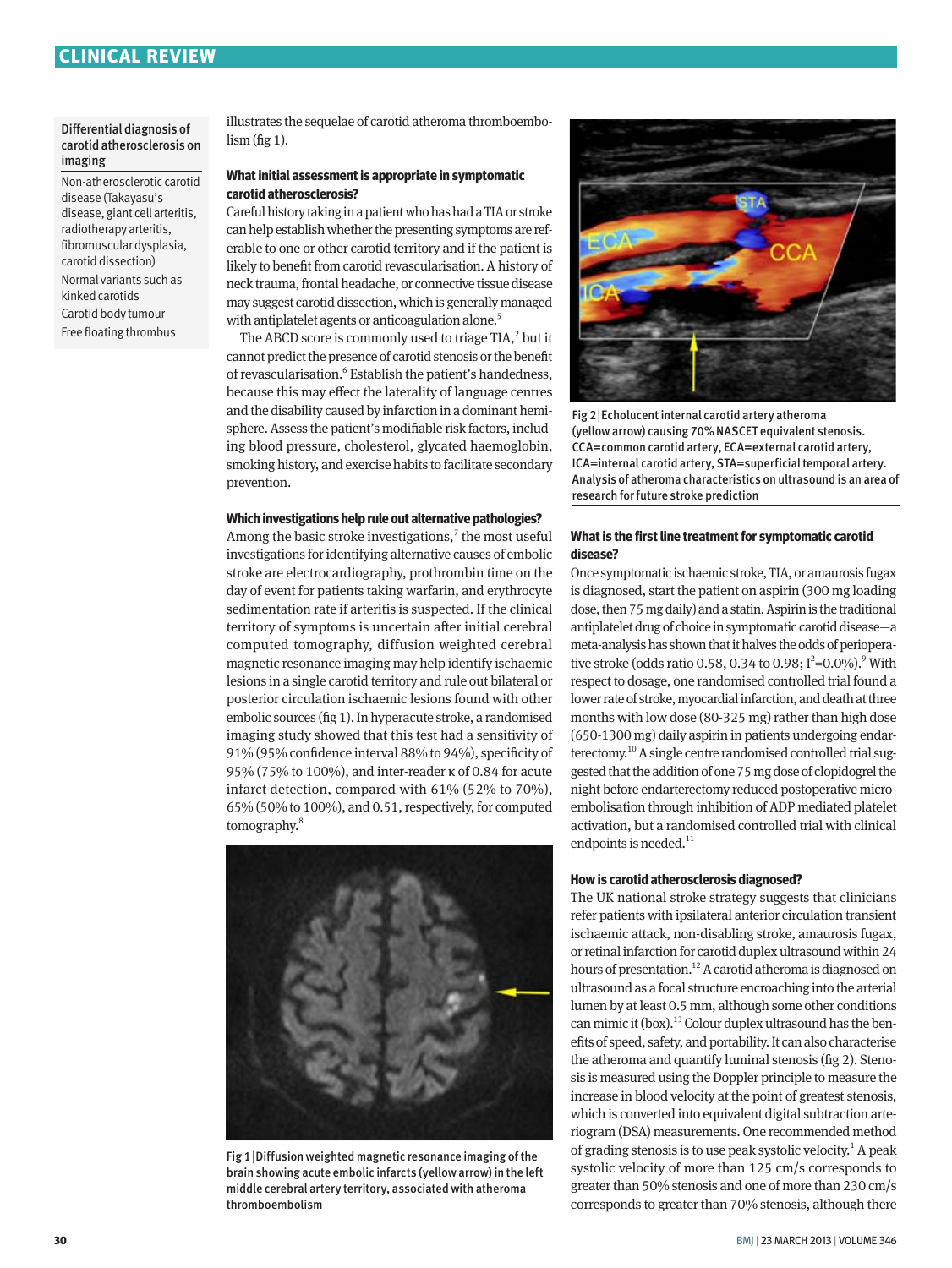#### Differential diagnosis of carotid atherosclerosis on imaging

Non-atherosclerotic carotid disease (Takayasu's disease, giant cell arteritis, radiotherapy arteritis, fibromuscular dysplasia, carotid dissection) Normal variants such as kinked carotids Carotid body tumour Free floating thrombus

illustrates the sequelae of carotid atheroma thromboembolism (fig 1).

#### **What initial assessment is appropriate in symptomatic carotid atherosclerosis?**

Careful history taking in a patient who has had a TIA or stroke can help establish whether the presenting symptoms are referable to one or other carotid territory and if the patient is likely to benefit from carotid revascularisation. A history of neck trauma, frontal headache, or connective tissue disease may suggest carotid dissection, which is generally managed with antiplatelet agents or anticoagulation alone.<sup>5</sup>

The ABCD score is commonly used to triage TIA, $^2$  but it cannot predict the presence of carotid stenosis or the benefit of revascularisation.<sup>6</sup> Establish the patient's handedness, because this may effect the laterality of language centres and the disability caused by infarction in a dominant hemisphere. Assess the patient's modifiable risk factors, including blood pressure, cholesterol, glycated haemoglobin, smoking history, and exercise habits to facilitate secondary prevention.

#### **Which investigations help rule out alternative pathologies?**

Among the basic stroke investigations, $<sup>7</sup>$  the most useful</sup> investigations for identifying alternative causes of embolic stroke are electrocardiography, prothrombin time on the day of event for patients taking warfarin, and erythrocyte sedimentation rate if arteritis is suspected. If the clinical territory of symptoms is uncertain after initial cerebral computed tomography, diffusion weighted cerebral magnetic resonance imaging may help identify ischaemic lesions in a single carotid territory and rule out bilateral or posterior circulation ischaemic lesions found with other embolic sources (fig 1). In hyperacute stroke, a randomised imaging study showed that this test had a sensitivity of 91% (95% confidence interval 88% to 94%), specificity of 95% (75% to 100%), and inter-reader κ of 0.84 for acute infarct detection, compared with 61% (52% to 70%), 65% (50% to 100%), and 0.51, respectively, for computed tomography.8



Fig 1|Diffusion weighted magnetic resonance imaging of the brain showing acute embolic infarcts (yellow arrow) in the left middle cerebral artery territory, associated with atheroma thromboembolism



Fig 2|Echolucent internal carotid artery atheroma (yellow arrow) causing 70% NASCET equivalent stenosis. CCA=common carotid artery, ECA=external carotid artery, ICA=internal carotid artery, STA=superficial temporal artery. Analysis of atheroma characteristics on ultrasound is an area of research for future stroke prediction

#### **What is the first line treatment for symptomatic carotid disease?**

Once symptomatic ischaemic stroke, TIA, or amaurosis fugax is diagnosed, start the patient on aspirin (300 mg loading dose, then 75 mg daily) and a statin. Aspirin is the traditional antiplatelet drug of choice in symptomatic carotid disease—a meta-analysis has shown that it halves the odds of perioperative stroke (odds ratio 0.58, 0.34 to 0.98;  $I^2=0.0\%$ ).<sup>9</sup> With respect to dosage, one randomised controlled trial found a lower rate of stroke, myocardial infarction, and death at three months with low dose (80-325 mg) rather than high dose (650-1300 mg) daily aspirin in patients undergoing endarterectomy.10 A single centre randomised controlled trial suggested that the addition of one 75 mg dose of clopidogrel the night before endarterectomy reduced postoperative microembolisation through inhibition of ADP mediated platelet activation, but a randomised controlled trial with clinical endpoints is needed.<sup>11</sup>

#### **How is carotid atherosclerosis diagnosed?**

The UK national stroke strategy suggests that clinicians refer patients with ipsilateral anterior circulation transient ischaemic attack, non-disabling stroke, amaurosis fugax, or retinal infarction for carotid duplex ultrasound within 24 hours of presentation.<sup>12</sup> A carotid atheroma is diagnosed on ultrasound as a focal structure encroaching into the arterial lumen by at least 0.5 mm, although some other conditions can mimic it (box).<sup>13</sup> Colour duplex ultrasound has the benefits of speed, safety, and portability. It can also characterise the atheroma and quantify luminal stenosis (fig 2). Stenosis is measured using the Doppler principle to measure the increase in blood velocity at the point of greatest stenosis, which is converted into equivalent digital subtraction arteriogram (DSA) measurements. One recommended method of grading stenosis is to use peak systolic velocity.<sup>1</sup> A peak systolic velocity of more than 125 cm/s corresponds to greater than 50% stenosis and one of more than 230 cm/s corresponds to greater than 70% stenosis, although there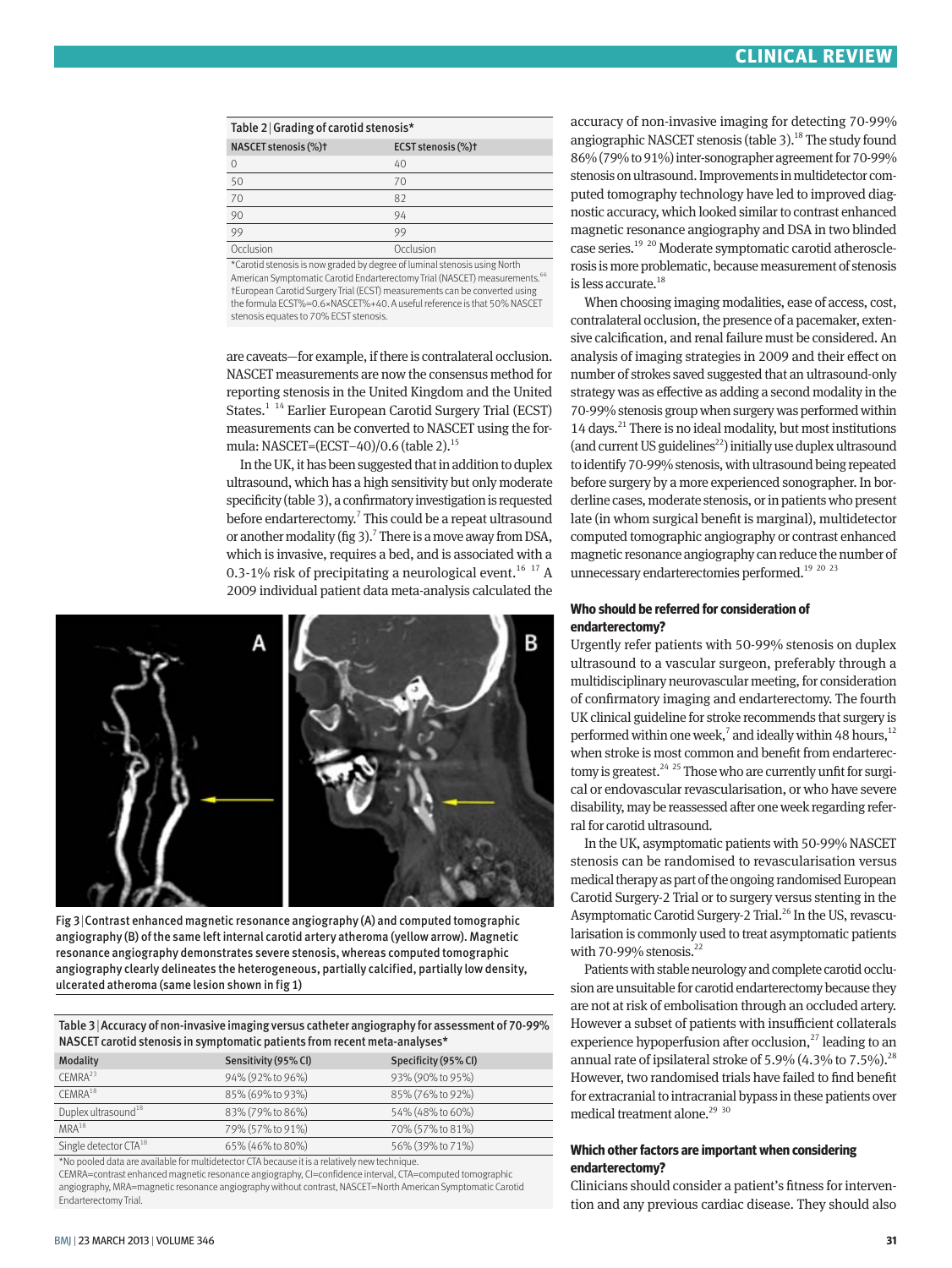| Table 2 Grading of carotid stenosis* |                    |  |
|--------------------------------------|--------------------|--|
| NASCET stenosis (%)t                 | ECST stenosis (%)t |  |
| $\Omega$                             | 40                 |  |
| 50                                   | 70                 |  |
| 70                                   | 82                 |  |
| 90                                   | 94                 |  |
| $\overline{99}$                      | 99                 |  |
| Occlusion                            | Occlusion          |  |

\*Carotid stenosis is now graded by degree of luminal stenosis using North American Symptomatic Carotid Endarterectomy Trial (NASCET) measurements.<sup>66</sup> †European Carotid Surgery Trial (ECST) measurements can be converted using the formula ECST%=0.6×NASCET%+40. A useful reference is that 50% NASCET stenosis equates to 70% ECST stenosis.

are caveats—for example, if there is contralateral occlusion. NASCET measurements are now the consensus method for reporting stenosis in the United Kingdom and the United States.<sup>1 14</sup> Earlier European Carotid Surgery Trial (ECST) measurements can be converted to NASCET using the formula: NASCET=(ECST-40)/0.6 (table 2).<sup>15</sup>

In the UK, it has been suggested that in addition to duplex ultrasound, which has a high sensitivity but only moderate specificity (table 3), a confirmatory investigation is requested before endarterectomy.<sup>7</sup> This could be a repeat ultrasound or another modality (fig 3).<sup>7</sup> There is a move away from DSA, which is invasive, requires a bed, and is associated with a 0.3-1% risk of precipitating a neurological event.<sup>16 17</sup> A 2009 individual patient data meta-analysis calculated the



Fig 3|Contrast enhanced magnetic resonance angiography (A) and computed tomographic angiography (B) of the same left internal carotid artery atheroma (yellow arrow). Magnetic resonance angiography demonstrates severe stenosis, whereas computed tomographic angiography clearly delineates the heterogeneous, partially calcified, partially low density, ulcerated atheroma (same lesion shown in fig 1)

Table 3|Accuracy of non-invasive imaging versus catheter angiography for assessment of 70-99% NASCET carotid stenosis in symptomatic patients from recent meta-analyses\*

| Modality                          | Sensitivity (95% CI) | Specificity (95% CI) |
|-----------------------------------|----------------------|----------------------|
| CFMRA <sup>23</sup>               | 94% (92% to 96%)     | 93% (90% to 95%)     |
| CFMRA <sup>18</sup>               | 85% (69% to 93%)     | 85% (76% to 92%)     |
| Duplex ultrasound <sup>18</sup>   | 83% (79% to 86%)     | 54% (48% to 60%)     |
| $MRA^{18}$                        | 79% (57% to 91%)     | 70% (57% to 81%)     |
| Single detector CTA <sup>18</sup> | 65% (46% to 80%)     | 56% (39% to 71%)     |
|                                   |                      |                      |

\*No pooled data are available for multidetector CTA because it is a relatively new technique. CEMRA=contrast enhanced magnetic resonance angiography, CI=confidence interval, CTA=computed tomographic angiography, MRA=magnetic resonance angiography without contrast, NASCET=North American Symptomatic Carotid Endarterectomy Trial.

accuracy of non-invasive imaging for detecting 70-99% angiographic NASCET stenosis (table 3).<sup>18</sup> The study found 86% (79% to 91%) inter-sonographer agreement for 70-99% stenosis on ultrasound. Improvements in multidetector computed tomography technology have led to improved diagnostic accuracy, which looked similar to contrast enhanced magnetic resonance angiography and DSA in two blinded case series.19 20 Moderate symptomatic carotid atherosclerosis is more problematic, because measurement of stenosis is less accurate.<sup>18</sup>

When choosing imaging modalities, ease of access, cost, contralateral occlusion, the presence of a pacemaker, extensive calcification, and renal failure must be considered. An analysis of imaging strategies in 2009 and their effect on number of strokes saved suggested that an ultrasound-only strategy was as effective as adding a second modality in the 70-99% stenosis group when surgery was performed within 14 days.<sup>21</sup> There is no ideal modality, but most institutions (and current US guidelines<sup>22</sup>) initially use duplex ultrasound to identify 70-99% stenosis, with ultrasound being repeated before surgery by a more experienced sonographer. In borderline cases, moderate stenosis, or in patients who present late (in whom surgical benefit is marginal), multidetector computed tomographic angiography or contrast enhanced magnetic resonance angiography can reduce the number of unnecessary endarterectomies performed.<sup>19</sup> <sup>20</sup> <sup>23</sup>

#### **Who should be referred for consideration of endarterectomy?**

Urgently refer patients with 50-99% stenosis on duplex ultrasound to a vascular surgeon, preferably through a multidisciplinary neurovascular meeting, for consideration of confirmatory imaging and endarterectomy. The fourth UK clinical guideline for stroke recommends that surgery is performed within one week,<sup>7</sup> and ideally within 48 hours,<sup>12</sup> when stroke is most common and benefit from endarterectomy is greatest. $24$   $25$  Those who are currently unfit for surgical or endovascular revascularisation, or who have severe disability, may be reassessed after one week regarding referral for carotid ultrasound.

In the UK, asymptomatic patients with 50-99% NASCET stenosis can be randomised to revascularisation versus medical therapy as part of the ongoing randomised European Carotid Surgery-2 Trial or to surgery versus stenting in the Asymptomatic Carotid Surgery-2 Trial.<sup>26</sup> In the US, revascularisation is commonly used to treat asymptomatic patients with 70-99% stenosis. $^{22}$ 

Patients with stable neurology and complete carotid occlusion are unsuitable for carotid endarterectomy because they are not at risk of embolisation through an occluded artery. However a subset of patients with insufficient collaterals experience hypoperfusion after occlusion,<sup>27</sup> leading to an annual rate of ipsilateral stroke of 5.9% (4.3% to 7.5%).<sup>28</sup> However, two randomised trials have failed to find benefit for extracranial to intracranial bypass in these patients over medical treatment alone. $2930$ 

### **Which other factors are important when considering endarterectomy?**

Clinicians should consider a patient's fitness for intervention and any previous cardiac disease. They should also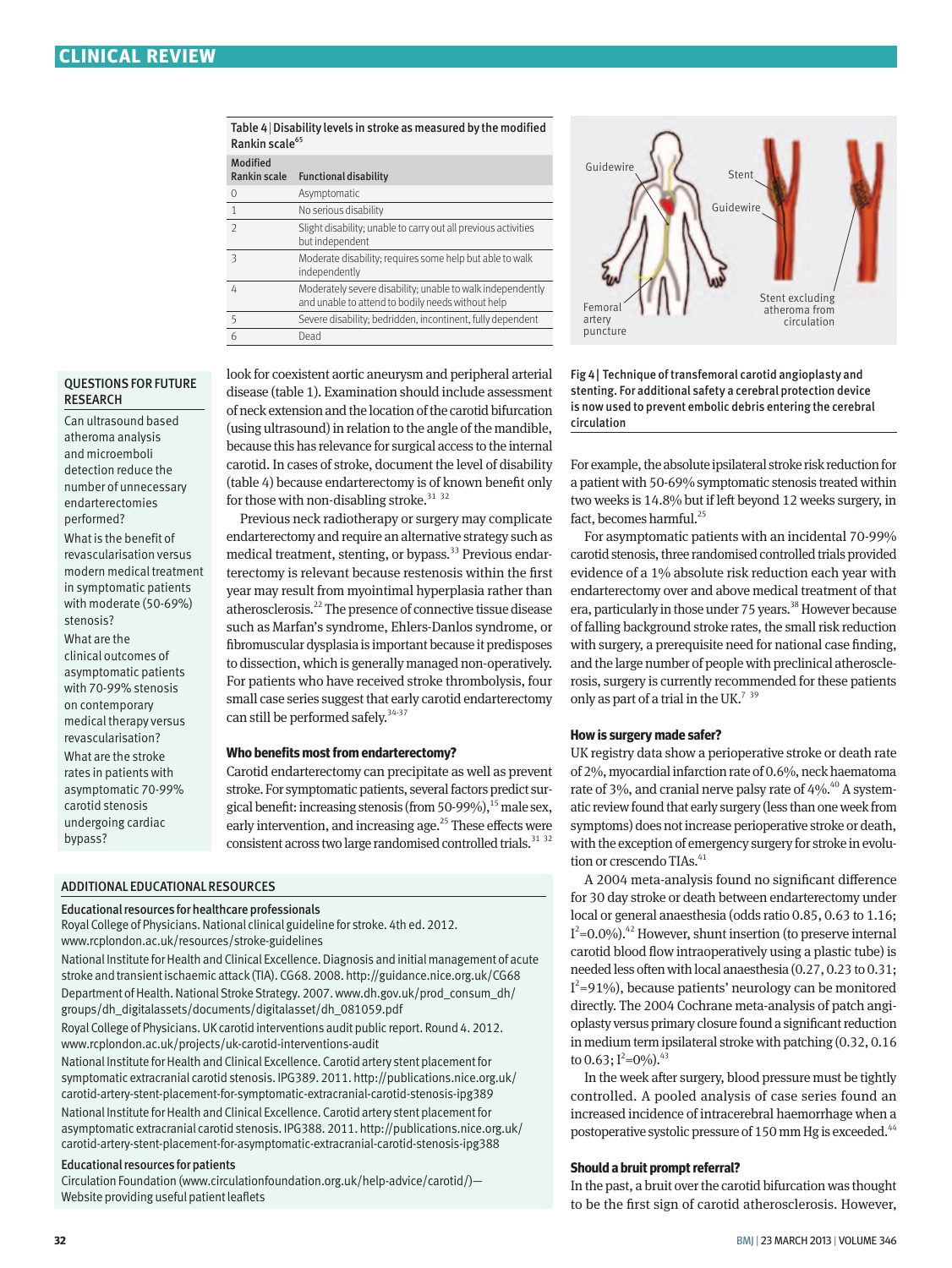| Table 4 Disability levels in stroke as measured by the modified |
|-----------------------------------------------------------------|
| Rankin scale <sup>65</sup>                                      |

| Modified<br>Rankin scale | <b>Functional disability</b>                                                                                    |
|--------------------------|-----------------------------------------------------------------------------------------------------------------|
| $\Omega$                 | Asymptomatic                                                                                                    |
| 1                        | No serious disability                                                                                           |
| $\mathcal{P}$            | Slight disability; unable to carry out all previous activities<br>but independent                               |
| 3                        | Moderate disability; requires some help but able to walk<br>independently                                       |
| 4                        | Moderately severe disability; unable to walk independently<br>and unable to attend to bodily needs without help |
| 5                        | Severe disability; bedridden, incontinent, fully dependent                                                      |
|                          | Dead                                                                                                            |
|                          |                                                                                                                 |



Can ultrasound based atheroma analysis and microemboli detection reduce the number of unnecessary endarterectomies performed? What is the benefit of revascularisation versus modern medical treatment in symptomatic patients with moderate (50-69%) stenosis? What are the clinical outcomes of asymptomatic patients with 70-99% stenosis on contemporary medical therapy versus revascularisation? What are the stroke rates in patients with

asymptomatic 70-99% carotid stenosis undergoing cardiac bypass?

look for coexistent aortic aneurysm and peripheral arterial disease (table 1). Examination should include assessment of neck extension and the location of the carotid bifurcation (using ultrasound) in relation to the angle of the mandible, because this has relevance for surgical access to the internal carotid. In cases of stroke, document the level of disability (table 4) because endarterectomy is of known benefit only for those with non-disabling stroke. $3132$ 

Previous neck radiotherapy or surgery may complicate endarterectomy and require an alternative strategy such as medical treatment, stenting, or bypass.<sup>33</sup> Previous endarterectomy is relevant because restenosis within the first year may result from myointimal hyperplasia rather than atherosclerosis.22 The presence of connective tissue disease such as Marfan's syndrome, Ehlers-Danlos syndrome, or fibromuscular dysplasia is important because it predisposes to dissection, which is generally managed non-operatively. For patients who have received stroke thrombolysis, four small case series suggest that early carotid endarterectomy can still be performed safely.<sup>34-37</sup>

#### **Who benefits most from endarterectomy?**

Carotid endarterectomy can precipitate as well as prevent stroke. For symptomatic patients, several factors predict surgical benefit: increasing stenosis (from 50-99%),  $^{15}$  male sex, early intervention, and increasing age.<sup>25</sup> These effects were consistent across two large randomised controlled trials.<sup>31</sup> <sup>32</sup>

#### ADDITIONAL EDUCATIONAL RESOURCES

#### Educational resources for healthcare professionals

Royal College of Physicians. National clinical guideline for stroke. 4th ed. 2012. www.rcplondon.ac.uk/resources/stroke-guidelines

National Institute for Health and Clinical Excellence. Diagnosis and initial management of acute stroke and transient ischaemic attack (TIA). CG68. 2008. http://guidance.nice.org.uk/CG68

Department of Health. National Stroke Strategy. 2007. www.dh.gov.uk/prod\_consum\_dh/ groups/dh\_digitalassets/documents/digitalasset/dh\_081059.pdf

Royal College of Physicians. UK carotid interventions audit public report. Round 4. 2012. www.rcplondon.ac.uk/projects/uk-carotid-interventions-audit

National Institute for Health and Clinical Excellence. Carotid artery stent placement for symptomatic extracranial carotid stenosis. IPG389. 2011. http://publications.nice.org.uk/ carotid-artery-stent-placement-for-symptomatic-extracranial-carotid-stenosis-ipg389 National Institute for Health and Clinical Excellence. Carotid artery stent placement for asymptomatic extracranial carotid stenosis. IPG388. 2011. http://publications.nice.org.uk/ carotid-artery-stent-placement-for-asymptomatic-extracranial-carotid-stenosis-ipg388

#### Educational resources for patients

Circulation Foundation (www.circulationfoundation.org.uk/help-advice/carotid/)— Website providing useful patient leaflets



Fig 4| Technique of transfemoral carotid angioplasty and stenting. For additional safety a cerebral protection device is now used to prevent embolic debris entering the cerebral circulation

For example, the absolute ipsilateral stroke risk reduction for a patient with 50-69% symptomatic stenosis treated within two weeks is 14.8% but if left beyond 12 weeks surgery, in fact, becomes harmful.<sup>25</sup>

For asymptomatic patients with an incidental 70-99% carotid stenosis, three randomised controlled trials provided evidence of a 1% absolute risk reduction each year with endarterectomy over and above medical treatment of that era, particularly in those under 75 years.<sup>38</sup> However because of falling background stroke rates, the small risk reduction with surgery, a prerequisite need for national case finding, and the large number of people with preclinical atherosclerosis, surgery is currently recommended for these patients only as part of a trial in the UK.<sup>739</sup>

#### **How is surgery made safer?**

UK registry data show a perioperative stroke or death rate of 2%, myocardial infarction rate of 0.6%, neck haematoma rate of 3%, and cranial nerve palsy rate of  $4\%$ .<sup>40</sup> A systematic review found that early surgery (less than one week from symptoms) does not increase perioperative stroke or death, with the exception of emergency surgery for stroke in evolution or crescendo TIAs.<sup>41</sup>

A 2004 meta-analysis found no significant difference for 30 day stroke or death between endarterectomy under local or general anaesthesia (odds ratio 0.85, 0.63 to 1.16;  $I^2$ =0.0%).<sup>42</sup> However, shunt insertion (to preserve internal carotid blood flow intraoperatively using a plastic tube) is needed less often with local anaesthesia (0.27, 0.23 to 0.31; I 2 =91%), because patients' neurology can be monitored directly. The 2004 Cochrane meta-analysis of patch angioplasty versus primary closure found a significant reduction in medium term ipsilateral stroke with patching (0.32, 0.16 to 0.63;  $I^2=0\%$ ).  $43$ 

In the week after surgery, blood pressure must be tightly controlled. A pooled analysis of case series found an increased incidence of intracerebral haemorrhage when a postoperative systolic pressure of 150 mm Hg is exceeded.<sup>44</sup>

#### **Should a bruit prompt referral?**

In the past, a bruit over the carotid bifurcation was thought to be the first sign of carotid atherosclerosis. However,